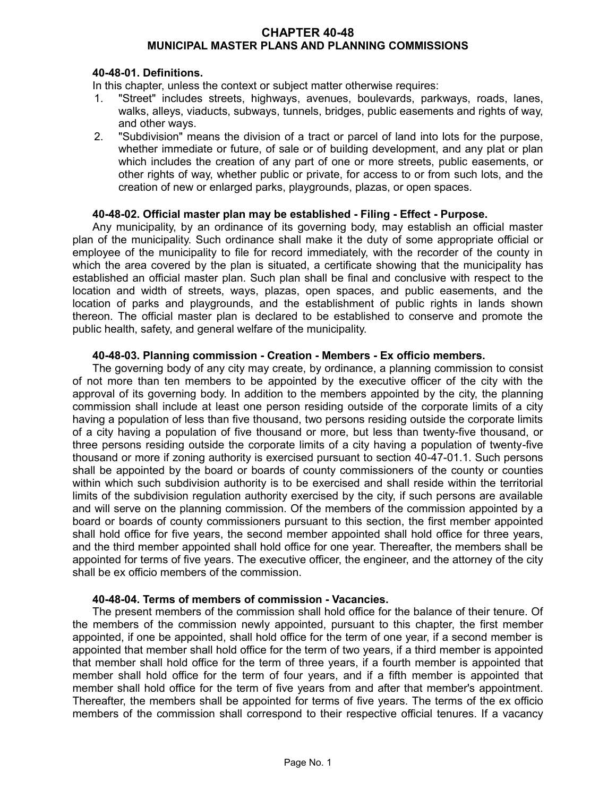### **CHAPTER 40-48 MUNICIPAL MASTER PLANS AND PLANNING COMMISSIONS**

### **40-48-01. Definitions.**

In this chapter, unless the context or subject matter otherwise requires:

- 1. "Street" includes streets, highways, avenues, boulevards, parkways, roads, lanes, walks, alleys, viaducts, subways, tunnels, bridges, public easements and rights of way, and other ways.
- 2. "Subdivision" means the division of a tract or parcel of land into lots for the purpose, whether immediate or future, of sale or of building development, and any plat or plan which includes the creation of any part of one or more streets, public easements, or other rights of way, whether public or private, for access to or from such lots, and the creation of new or enlarged parks, playgrounds, plazas, or open spaces.

### **40-48-02. Official master plan may be established - Filing - Effect - Purpose.**

Any municipality, by an ordinance of its governing body, may establish an official master plan of the municipality. Such ordinance shall make it the duty of some appropriate official or employee of the municipality to file for record immediately, with the recorder of the county in which the area covered by the plan is situated, a certificate showing that the municipality has established an official master plan. Such plan shall be final and conclusive with respect to the location and width of streets, ways, plazas, open spaces, and public easements, and the location of parks and playgrounds, and the establishment of public rights in lands shown thereon. The official master plan is declared to be established to conserve and promote the public health, safety, and general welfare of the municipality.

## **40-48-03. Planning commission - Creation - Members - Ex officio members.**

The governing body of any city may create, by ordinance, a planning commission to consist of not more than ten members to be appointed by the executive officer of the city with the approval of its governing body. In addition to the members appointed by the city, the planning commission shall include at least one person residing outside of the corporate limits of a city having a population of less than five thousand, two persons residing outside the corporate limits of a city having a population of five thousand or more, but less than twenty-five thousand, or three persons residing outside the corporate limits of a city having a population of twenty-five thousand or more if zoning authority is exercised pursuant to section 40-47-01.1. Such persons shall be appointed by the board or boards of county commissioners of the county or counties within which such subdivision authority is to be exercised and shall reside within the territorial limits of the subdivision regulation authority exercised by the city, if such persons are available and will serve on the planning commission. Of the members of the commission appointed by a board or boards of county commissioners pursuant to this section, the first member appointed shall hold office for five years, the second member appointed shall hold office for three years, and the third member appointed shall hold office for one year. Thereafter, the members shall be appointed for terms of five years. The executive officer, the engineer, and the attorney of the city shall be ex officio members of the commission.

### **40-48-04. Terms of members of commission - Vacancies.**

The present members of the commission shall hold office for the balance of their tenure. Of the members of the commission newly appointed, pursuant to this chapter, the first member appointed, if one be appointed, shall hold office for the term of one year, if a second member is appointed that member shall hold office for the term of two years, if a third member is appointed that member shall hold office for the term of three years, if a fourth member is appointed that member shall hold office for the term of four years, and if a fifth member is appointed that member shall hold office for the term of five years from and after that member's appointment. Thereafter, the members shall be appointed for terms of five years. The terms of the ex officio members of the commission shall correspond to their respective official tenures. If a vacancy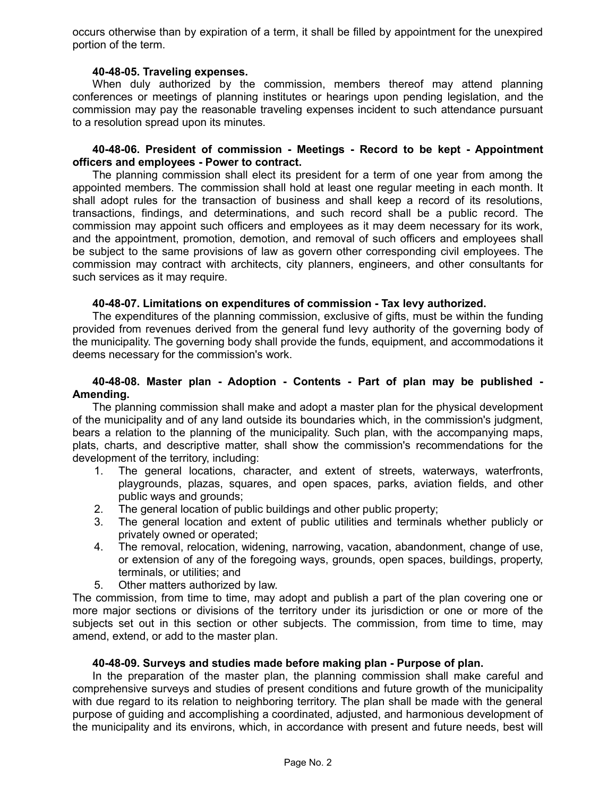occurs otherwise than by expiration of a term, it shall be filled by appointment for the unexpired portion of the term.

### **40-48-05. Traveling expenses.**

When duly authorized by the commission, members thereof may attend planning conferences or meetings of planning institutes or hearings upon pending legislation, and the commission may pay the reasonable traveling expenses incident to such attendance pursuant to a resolution spread upon its minutes.

### **40-48-06. President of commission - Meetings - Record to be kept - Appointment officers and employees - Power to contract.**

The planning commission shall elect its president for a term of one year from among the appointed members. The commission shall hold at least one regular meeting in each month. It shall adopt rules for the transaction of business and shall keep a record of its resolutions, transactions, findings, and determinations, and such record shall be a public record. The commission may appoint such officers and employees as it may deem necessary for its work, and the appointment, promotion, demotion, and removal of such officers and employees shall be subject to the same provisions of law as govern other corresponding civil employees. The commission may contract with architects, city planners, engineers, and other consultants for such services as it may require.

### **40-48-07. Limitations on expenditures of commission - Tax levy authorized.**

The expenditures of the planning commission, exclusive of gifts, must be within the funding provided from revenues derived from the general fund levy authority of the governing body of the municipality. The governing body shall provide the funds, equipment, and accommodations it deems necessary for the commission's work.

## **40-48-08. Master plan - Adoption - Contents - Part of plan may be published - Amending.**

The planning commission shall make and adopt a master plan for the physical development of the municipality and of any land outside its boundaries which, in the commission's judgment, bears a relation to the planning of the municipality. Such plan, with the accompanying maps, plats, charts, and descriptive matter, shall show the commission's recommendations for the development of the territory, including:

- 1. The general locations, character, and extent of streets, waterways, waterfronts, playgrounds, plazas, squares, and open spaces, parks, aviation fields, and other public ways and grounds;
- 2. The general location of public buildings and other public property;
- 3. The general location and extent of public utilities and terminals whether publicly or privately owned or operated;
- 4. The removal, relocation, widening, narrowing, vacation, abandonment, change of use, or extension of any of the foregoing ways, grounds, open spaces, buildings, property, terminals, or utilities; and
- 5. Other matters authorized by law.

The commission, from time to time, may adopt and publish a part of the plan covering one or more major sections or divisions of the territory under its jurisdiction or one or more of the subjects set out in this section or other subjects. The commission, from time to time, may amend, extend, or add to the master plan.

## **40-48-09. Surveys and studies made before making plan - Purpose of plan.**

In the preparation of the master plan, the planning commission shall make careful and comprehensive surveys and studies of present conditions and future growth of the municipality with due regard to its relation to neighboring territory. The plan shall be made with the general purpose of guiding and accomplishing a coordinated, adjusted, and harmonious development of the municipality and its environs, which, in accordance with present and future needs, best will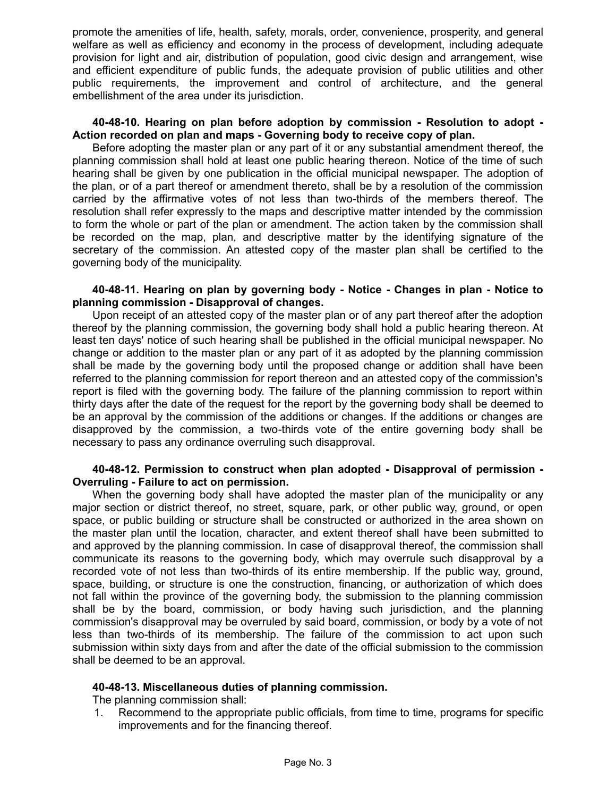promote the amenities of life, health, safety, morals, order, convenience, prosperity, and general welfare as well as efficiency and economy in the process of development, including adequate provision for light and air, distribution of population, good civic design and arrangement, wise and efficient expenditure of public funds, the adequate provision of public utilities and other public requirements, the improvement and control of architecture, and the general embellishment of the area under its jurisdiction.

### **40-48-10. Hearing on plan before adoption by commission - Resolution to adopt - Action recorded on plan and maps - Governing body to receive copy of plan.**

Before adopting the master plan or any part of it or any substantial amendment thereof, the planning commission shall hold at least one public hearing thereon. Notice of the time of such hearing shall be given by one publication in the official municipal newspaper. The adoption of the plan, or of a part thereof or amendment thereto, shall be by a resolution of the commission carried by the affirmative votes of not less than two-thirds of the members thereof. The resolution shall refer expressly to the maps and descriptive matter intended by the commission to form the whole or part of the plan or amendment. The action taken by the commission shall be recorded on the map, plan, and descriptive matter by the identifying signature of the secretary of the commission. An attested copy of the master plan shall be certified to the governing body of the municipality.

### **40-48-11. Hearing on plan by governing body - Notice - Changes in plan - Notice to planning commission - Disapproval of changes.**

Upon receipt of an attested copy of the master plan or of any part thereof after the adoption thereof by the planning commission, the governing body shall hold a public hearing thereon. At least ten days' notice of such hearing shall be published in the official municipal newspaper. No change or addition to the master plan or any part of it as adopted by the planning commission shall be made by the governing body until the proposed change or addition shall have been referred to the planning commission for report thereon and an attested copy of the commission's report is filed with the governing body. The failure of the planning commission to report within thirty days after the date of the request for the report by the governing body shall be deemed to be an approval by the commission of the additions or changes. If the additions or changes are disapproved by the commission, a two-thirds vote of the entire governing body shall be necessary to pass any ordinance overruling such disapproval.

### **40-48-12. Permission to construct when plan adopted - Disapproval of permission - Overruling - Failure to act on permission.**

When the governing body shall have adopted the master plan of the municipality or any major section or district thereof, no street, square, park, or other public way, ground, or open space, or public building or structure shall be constructed or authorized in the area shown on the master plan until the location, character, and extent thereof shall have been submitted to and approved by the planning commission. In case of disapproval thereof, the commission shall communicate its reasons to the governing body, which may overrule such disapproval by a recorded vote of not less than two-thirds of its entire membership. If the public way, ground, space, building, or structure is one the construction, financing, or authorization of which does not fall within the province of the governing body, the submission to the planning commission shall be by the board, commission, or body having such jurisdiction, and the planning commission's disapproval may be overruled by said board, commission, or body by a vote of not less than two-thirds of its membership. The failure of the commission to act upon such submission within sixty days from and after the date of the official submission to the commission shall be deemed to be an approval.

### **40-48-13. Miscellaneous duties of planning commission.**

The planning commission shall:

1. Recommend to the appropriate public officials, from time to time, programs for specific improvements and for the financing thereof.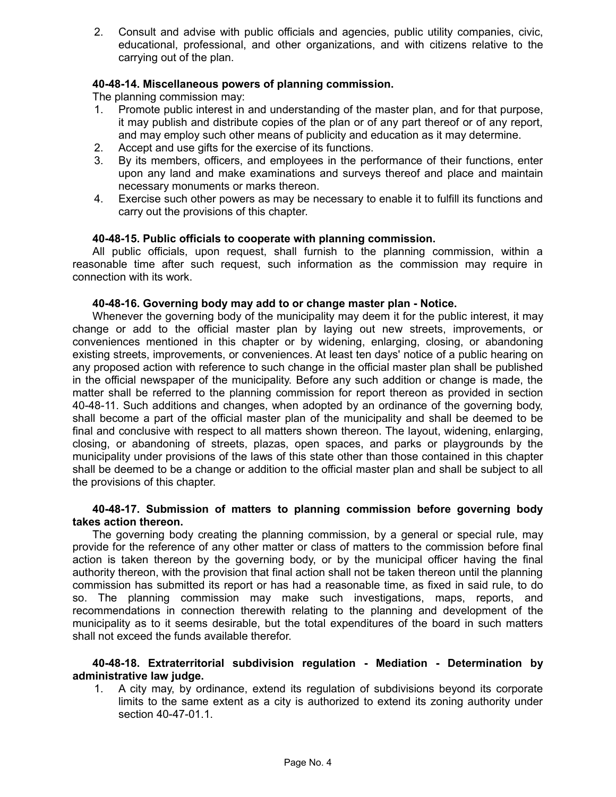2. Consult and advise with public officials and agencies, public utility companies, civic, educational, professional, and other organizations, and with citizens relative to the carrying out of the plan.

# **40-48-14. Miscellaneous powers of planning commission.**

The planning commission may:

- 1. Promote public interest in and understanding of the master plan, and for that purpose, it may publish and distribute copies of the plan or of any part thereof or of any report, and may employ such other means of publicity and education as it may determine.
- 2. Accept and use gifts for the exercise of its functions.
- 3. By its members, officers, and employees in the performance of their functions, enter upon any land and make examinations and surveys thereof and place and maintain necessary monuments or marks thereon.
- 4. Exercise such other powers as may be necessary to enable it to fulfill its functions and carry out the provisions of this chapter.

## **40-48-15. Public officials to cooperate with planning commission.**

All public officials, upon request, shall furnish to the planning commission, within a reasonable time after such request, such information as the commission may require in connection with its work.

### **40-48-16. Governing body may add to or change master plan - Notice.**

Whenever the governing body of the municipality may deem it for the public interest, it may change or add to the official master plan by laying out new streets, improvements, or conveniences mentioned in this chapter or by widening, enlarging, closing, or abandoning existing streets, improvements, or conveniences. At least ten days' notice of a public hearing on any proposed action with reference to such change in the official master plan shall be published in the official newspaper of the municipality. Before any such addition or change is made, the matter shall be referred to the planning commission for report thereon as provided in section 40-48-11. Such additions and changes, when adopted by an ordinance of the governing body, shall become a part of the official master plan of the municipality and shall be deemed to be final and conclusive with respect to all matters shown thereon. The layout, widening, enlarging, closing, or abandoning of streets, plazas, open spaces, and parks or playgrounds by the municipality under provisions of the laws of this state other than those contained in this chapter shall be deemed to be a change or addition to the official master plan and shall be subject to all the provisions of this chapter.

### **40-48-17. Submission of matters to planning commission before governing body takes action thereon.**

The governing body creating the planning commission, by a general or special rule, may provide for the reference of any other matter or class of matters to the commission before final action is taken thereon by the governing body, or by the municipal officer having the final authority thereon, with the provision that final action shall not be taken thereon until the planning commission has submitted its report or has had a reasonable time, as fixed in said rule, to do so. The planning commission may make such investigations, maps, reports, and recommendations in connection therewith relating to the planning and development of the municipality as to it seems desirable, but the total expenditures of the board in such matters shall not exceed the funds available therefor.

### **40-48-18. Extraterritorial subdivision regulation - Mediation - Determination by administrative law judge.**

1. A city may, by ordinance, extend its regulation of subdivisions beyond its corporate limits to the same extent as a city is authorized to extend its zoning authority under section 40-47-01.1.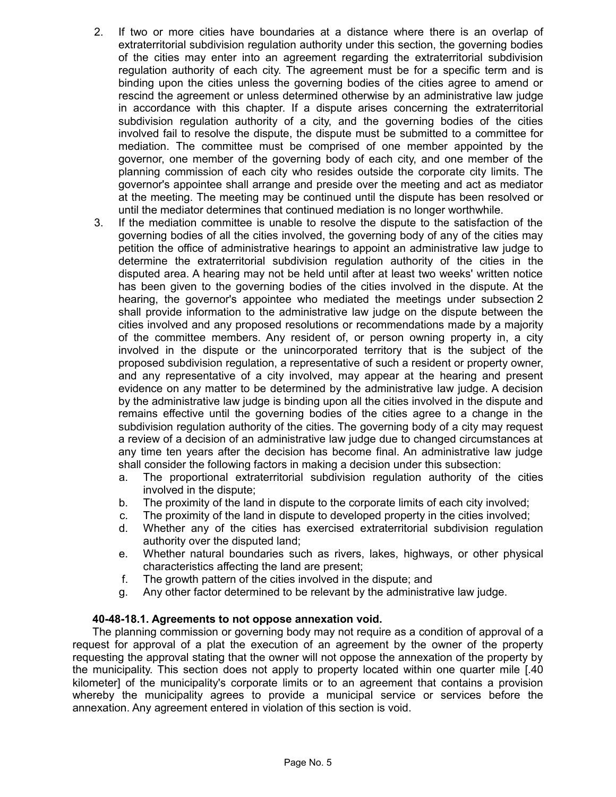- 2. If two or more cities have boundaries at a distance where there is an overlap of extraterritorial subdivision regulation authority under this section, the governing bodies of the cities may enter into an agreement regarding the extraterritorial subdivision regulation authority of each city. The agreement must be for a specific term and is binding upon the cities unless the governing bodies of the cities agree to amend or rescind the agreement or unless determined otherwise by an administrative law judge in accordance with this chapter. If a dispute arises concerning the extraterritorial subdivision regulation authority of a city, and the governing bodies of the cities involved fail to resolve the dispute, the dispute must be submitted to a committee for mediation. The committee must be comprised of one member appointed by the governor, one member of the governing body of each city, and one member of the planning commission of each city who resides outside the corporate city limits. The governor's appointee shall arrange and preside over the meeting and act as mediator at the meeting. The meeting may be continued until the dispute has been resolved or until the mediator determines that continued mediation is no longer worthwhile.
- 3. If the mediation committee is unable to resolve the dispute to the satisfaction of the governing bodies of all the cities involved, the governing body of any of the cities may petition the office of administrative hearings to appoint an administrative law judge to determine the extraterritorial subdivision regulation authority of the cities in the disputed area. A hearing may not be held until after at least two weeks' written notice has been given to the governing bodies of the cities involved in the dispute. At the hearing, the governor's appointee who mediated the meetings under subsection 2 shall provide information to the administrative law judge on the dispute between the cities involved and any proposed resolutions or recommendations made by a majority of the committee members. Any resident of, or person owning property in, a city involved in the dispute or the unincorporated territory that is the subject of the proposed subdivision regulation, a representative of such a resident or property owner, and any representative of a city involved, may appear at the hearing and present evidence on any matter to be determined by the administrative law judge. A decision by the administrative law judge is binding upon all the cities involved in the dispute and remains effective until the governing bodies of the cities agree to a change in the subdivision regulation authority of the cities. The governing body of a city may request a review of a decision of an administrative law judge due to changed circumstances at any time ten years after the decision has become final. An administrative law judge shall consider the following factors in making a decision under this subsection:
	- a. The proportional extraterritorial subdivision regulation authority of the cities involved in the dispute;
	- b. The proximity of the land in dispute to the corporate limits of each city involved;
	- c. The proximity of the land in dispute to developed property in the cities involved;
	- d. Whether any of the cities has exercised extraterritorial subdivision regulation authority over the disputed land;
	- e. Whether natural boundaries such as rivers, lakes, highways, or other physical characteristics affecting the land are present;
	- f. The growth pattern of the cities involved in the dispute; and
	- g. Any other factor determined to be relevant by the administrative law judge.

### **40-48-18.1. Agreements to not oppose annexation void.**

The planning commission or governing body may not require as a condition of approval of a request for approval of a plat the execution of an agreement by the owner of the property requesting the approval stating that the owner will not oppose the annexation of the property by the municipality. This section does not apply to property located within one quarter mile [.40 kilometer] of the municipality's corporate limits or to an agreement that contains a provision whereby the municipality agrees to provide a municipal service or services before the annexation. Any agreement entered in violation of this section is void.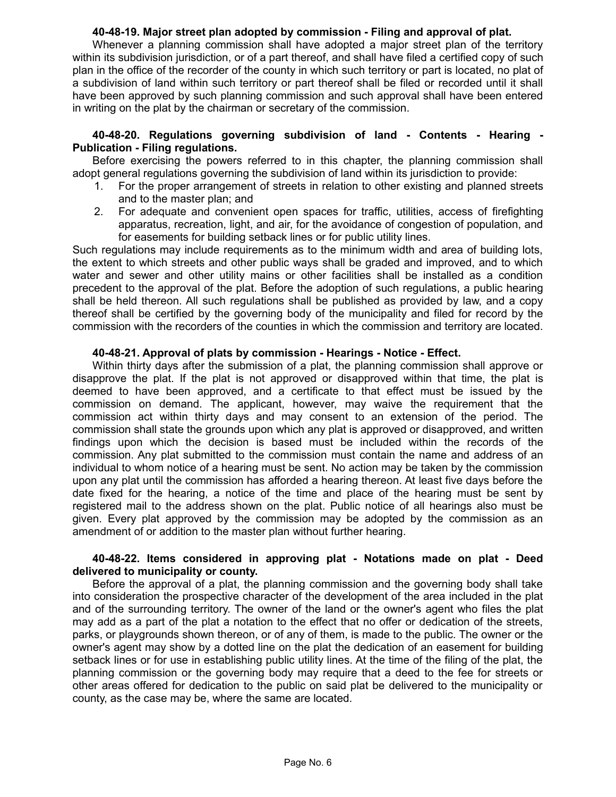## **40-48-19. Major street plan adopted by commission - Filing and approval of plat.**

Whenever a planning commission shall have adopted a major street plan of the territory within its subdivision jurisdiction, or of a part thereof, and shall have filed a certified copy of such plan in the office of the recorder of the county in which such territory or part is located, no plat of a subdivision of land within such territory or part thereof shall be filed or recorded until it shall have been approved by such planning commission and such approval shall have been entered in writing on the plat by the chairman or secretary of the commission.

## **40-48-20. Regulations governing subdivision of land - Contents - Hearing - Publication - Filing regulations.**

Before exercising the powers referred to in this chapter, the planning commission shall adopt general regulations governing the subdivision of land within its jurisdiction to provide:

- 1. For the proper arrangement of streets in relation to other existing and planned streets and to the master plan; and
- 2. For adequate and convenient open spaces for traffic, utilities, access of firefighting apparatus, recreation, light, and air, for the avoidance of congestion of population, and for easements for building setback lines or for public utility lines.

Such regulations may include requirements as to the minimum width and area of building lots, the extent to which streets and other public ways shall be graded and improved, and to which water and sewer and other utility mains or other facilities shall be installed as a condition precedent to the approval of the plat. Before the adoption of such regulations, a public hearing shall be held thereon. All such regulations shall be published as provided by law, and a copy thereof shall be certified by the governing body of the municipality and filed for record by the commission with the recorders of the counties in which the commission and territory are located.

## **40-48-21. Approval of plats by commission - Hearings - Notice - Effect.**

Within thirty days after the submission of a plat, the planning commission shall approve or disapprove the plat. If the plat is not approved or disapproved within that time, the plat is deemed to have been approved, and a certificate to that effect must be issued by the commission on demand. The applicant, however, may waive the requirement that the commission act within thirty days and may consent to an extension of the period. The commission shall state the grounds upon which any plat is approved or disapproved, and written findings upon which the decision is based must be included within the records of the commission. Any plat submitted to the commission must contain the name and address of an individual to whom notice of a hearing must be sent. No action may be taken by the commission upon any plat until the commission has afforded a hearing thereon. At least five days before the date fixed for the hearing, a notice of the time and place of the hearing must be sent by registered mail to the address shown on the plat. Public notice of all hearings also must be given. Every plat approved by the commission may be adopted by the commission as an amendment of or addition to the master plan without further hearing.

## **40-48-22. Items considered in approving plat - Notations made on plat - Deed delivered to municipality or county.**

Before the approval of a plat, the planning commission and the governing body shall take into consideration the prospective character of the development of the area included in the plat and of the surrounding territory. The owner of the land or the owner's agent who files the plat may add as a part of the plat a notation to the effect that no offer or dedication of the streets, parks, or playgrounds shown thereon, or of any of them, is made to the public. The owner or the owner's agent may show by a dotted line on the plat the dedication of an easement for building setback lines or for use in establishing public utility lines. At the time of the filing of the plat, the planning commission or the governing body may require that a deed to the fee for streets or other areas offered for dedication to the public on said plat be delivered to the municipality or county, as the case may be, where the same are located.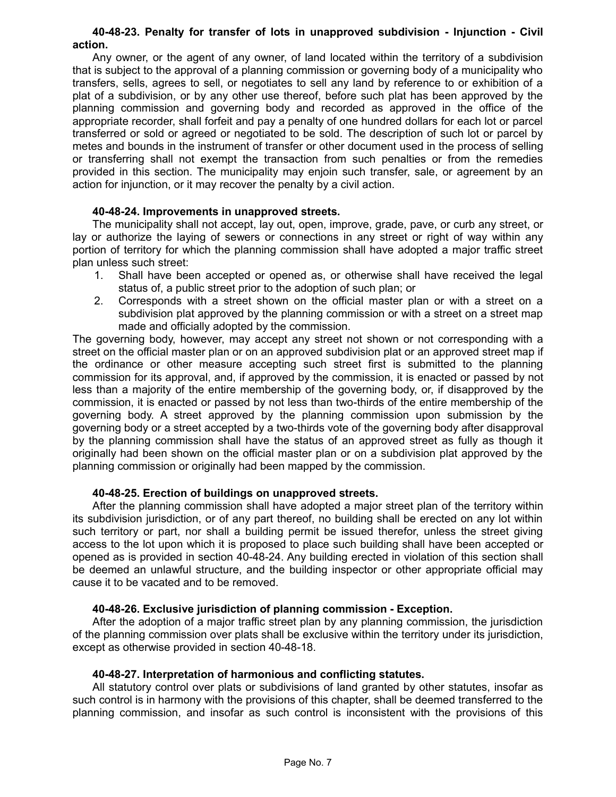### **40-48-23. Penalty for transfer of lots in unapproved subdivision - Injunction - Civil action.**

Any owner, or the agent of any owner, of land located within the territory of a subdivision that is subject to the approval of a planning commission or governing body of a municipality who transfers, sells, agrees to sell, or negotiates to sell any land by reference to or exhibition of a plat of a subdivision, or by any other use thereof, before such plat has been approved by the planning commission and governing body and recorded as approved in the office of the appropriate recorder, shall forfeit and pay a penalty of one hundred dollars for each lot or parcel transferred or sold or agreed or negotiated to be sold. The description of such lot or parcel by metes and bounds in the instrument of transfer or other document used in the process of selling or transferring shall not exempt the transaction from such penalties or from the remedies provided in this section. The municipality may enjoin such transfer, sale, or agreement by an action for injunction, or it may recover the penalty by a civil action.

## **40-48-24. Improvements in unapproved streets.**

The municipality shall not accept, lay out, open, improve, grade, pave, or curb any street, or lay or authorize the laying of sewers or connections in any street or right of way within any portion of territory for which the planning commission shall have adopted a major traffic street plan unless such street:

- 1. Shall have been accepted or opened as, or otherwise shall have received the legal status of, a public street prior to the adoption of such plan; or
- 2. Corresponds with a street shown on the official master plan or with a street on a subdivision plat approved by the planning commission or with a street on a street map made and officially adopted by the commission.

The governing body, however, may accept any street not shown or not corresponding with a street on the official master plan or on an approved subdivision plat or an approved street map if the ordinance or other measure accepting such street first is submitted to the planning commission for its approval, and, if approved by the commission, it is enacted or passed by not less than a majority of the entire membership of the governing body, or, if disapproved by the commission, it is enacted or passed by not less than two-thirds of the entire membership of the governing body. A street approved by the planning commission upon submission by the governing body or a street accepted by a two-thirds vote of the governing body after disapproval by the planning commission shall have the status of an approved street as fully as though it originally had been shown on the official master plan or on a subdivision plat approved by the planning commission or originally had been mapped by the commission.

### **40-48-25. Erection of buildings on unapproved streets.**

After the planning commission shall have adopted a major street plan of the territory within its subdivision jurisdiction, or of any part thereof, no building shall be erected on any lot within such territory or part, nor shall a building permit be issued therefor, unless the street giving access to the lot upon which it is proposed to place such building shall have been accepted or opened as is provided in section 40-48-24. Any building erected in violation of this section shall be deemed an unlawful structure, and the building inspector or other appropriate official may cause it to be vacated and to be removed.

### **40-48-26. Exclusive jurisdiction of planning commission - Exception.**

After the adoption of a major traffic street plan by any planning commission, the jurisdiction of the planning commission over plats shall be exclusive within the territory under its jurisdiction, except as otherwise provided in section 40-48-18.

### **40-48-27. Interpretation of harmonious and conflicting statutes.**

All statutory control over plats or subdivisions of land granted by other statutes, insofar as such control is in harmony with the provisions of this chapter, shall be deemed transferred to the planning commission, and insofar as such control is inconsistent with the provisions of this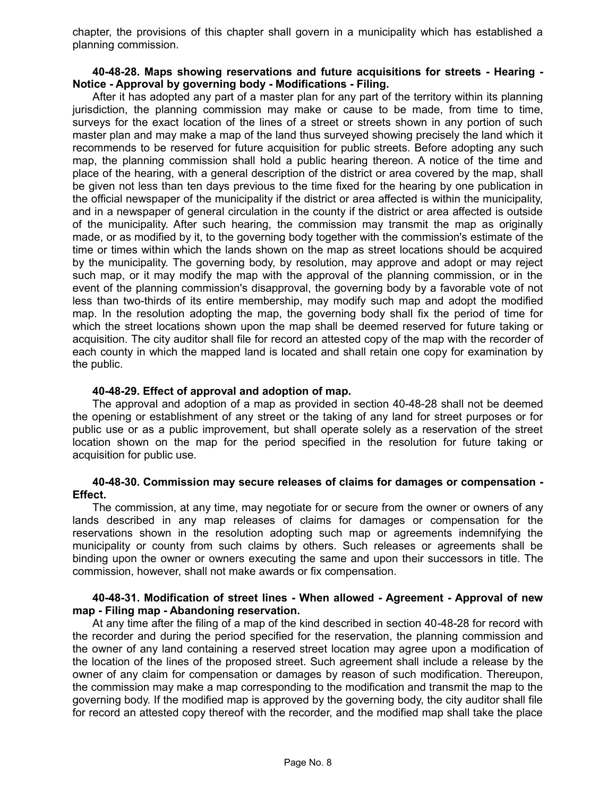chapter, the provisions of this chapter shall govern in a municipality which has established a planning commission.

### **40-48-28. Maps showing reservations and future acquisitions for streets - Hearing - Notice - Approval by governing body - Modifications - Filing.**

After it has adopted any part of a master plan for any part of the territory within its planning jurisdiction, the planning commission may make or cause to be made, from time to time, surveys for the exact location of the lines of a street or streets shown in any portion of such master plan and may make a map of the land thus surveyed showing precisely the land which it recommends to be reserved for future acquisition for public streets. Before adopting any such map, the planning commission shall hold a public hearing thereon. A notice of the time and place of the hearing, with a general description of the district or area covered by the map, shall be given not less than ten days previous to the time fixed for the hearing by one publication in the official newspaper of the municipality if the district or area affected is within the municipality, and in a newspaper of general circulation in the county if the district or area affected is outside of the municipality. After such hearing, the commission may transmit the map as originally made, or as modified by it, to the governing body together with the commission's estimate of the time or times within which the lands shown on the map as street locations should be acquired by the municipality. The governing body, by resolution, may approve and adopt or may reject such map, or it may modify the map with the approval of the planning commission, or in the event of the planning commission's disapproval, the governing body by a favorable vote of not less than two-thirds of its entire membership, may modify such map and adopt the modified map. In the resolution adopting the map, the governing body shall fix the period of time for which the street locations shown upon the map shall be deemed reserved for future taking or acquisition. The city auditor shall file for record an attested copy of the map with the recorder of each county in which the mapped land is located and shall retain one copy for examination by the public.

### **40-48-29. Effect of approval and adoption of map.**

The approval and adoption of a map as provided in section 40-48-28 shall not be deemed the opening or establishment of any street or the taking of any land for street purposes or for public use or as a public improvement, but shall operate solely as a reservation of the street location shown on the map for the period specified in the resolution for future taking or acquisition for public use.

### **40-48-30. Commission may secure releases of claims for damages or compensation - Effect.**

The commission, at any time, may negotiate for or secure from the owner or owners of any lands described in any map releases of claims for damages or compensation for the reservations shown in the resolution adopting such map or agreements indemnifying the municipality or county from such claims by others. Such releases or agreements shall be binding upon the owner or owners executing the same and upon their successors in title. The commission, however, shall not make awards or fix compensation.

### **40-48-31. Modification of street lines - When allowed - Agreement - Approval of new map - Filing map - Abandoning reservation.**

At any time after the filing of a map of the kind described in section 40-48-28 for record with the recorder and during the period specified for the reservation, the planning commission and the owner of any land containing a reserved street location may agree upon a modification of the location of the lines of the proposed street. Such agreement shall include a release by the owner of any claim for compensation or damages by reason of such modification. Thereupon, the commission may make a map corresponding to the modification and transmit the map to the governing body. If the modified map is approved by the governing body, the city auditor shall file for record an attested copy thereof with the recorder, and the modified map shall take the place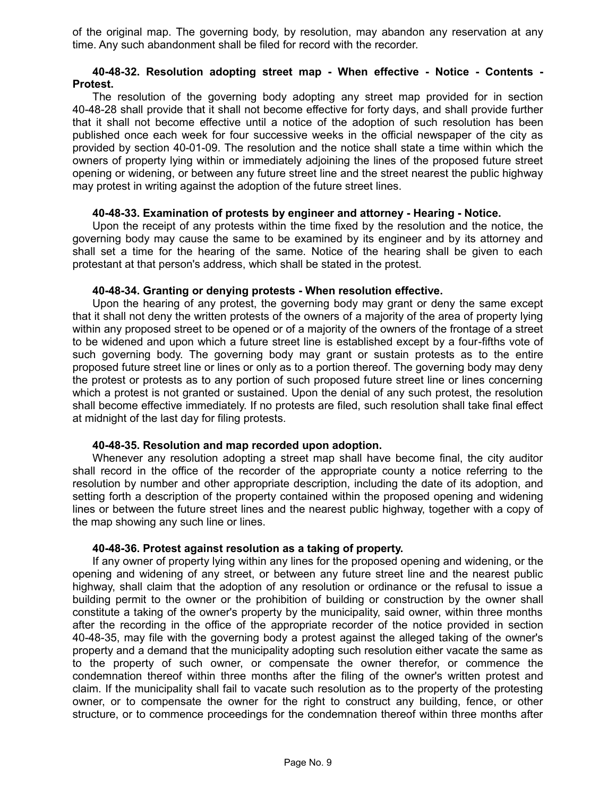of the original map. The governing body, by resolution, may abandon any reservation at any time. Any such abandonment shall be filed for record with the recorder.

#### **40-48-32. Resolution adopting street map - When effective - Notice - Contents - Protest.**

The resolution of the governing body adopting any street map provided for in section 40-48-28 shall provide that it shall not become effective for forty days, and shall provide further that it shall not become effective until a notice of the adoption of such resolution has been published once each week for four successive weeks in the official newspaper of the city as provided by section 40-01-09. The resolution and the notice shall state a time within which the owners of property lying within or immediately adjoining the lines of the proposed future street opening or widening, or between any future street line and the street nearest the public highway may protest in writing against the adoption of the future street lines.

### **40-48-33. Examination of protests by engineer and attorney - Hearing - Notice.**

Upon the receipt of any protests within the time fixed by the resolution and the notice, the governing body may cause the same to be examined by its engineer and by its attorney and shall set a time for the hearing of the same. Notice of the hearing shall be given to each protestant at that person's address, which shall be stated in the protest.

## **40-48-34. Granting or denying protests - When resolution effective.**

Upon the hearing of any protest, the governing body may grant or deny the same except that it shall not deny the written protests of the owners of a majority of the area of property lying within any proposed street to be opened or of a majority of the owners of the frontage of a street to be widened and upon which a future street line is established except by a four-fifths vote of such governing body. The governing body may grant or sustain protests as to the entire proposed future street line or lines or only as to a portion thereof. The governing body may deny the protest or protests as to any portion of such proposed future street line or lines concerning which a protest is not granted or sustained. Upon the denial of any such protest, the resolution shall become effective immediately. If no protests are filed, such resolution shall take final effect at midnight of the last day for filing protests.

### **40-48-35. Resolution and map recorded upon adoption.**

Whenever any resolution adopting a street map shall have become final, the city auditor shall record in the office of the recorder of the appropriate county a notice referring to the resolution by number and other appropriate description, including the date of its adoption, and setting forth a description of the property contained within the proposed opening and widening lines or between the future street lines and the nearest public highway, together with a copy of the map showing any such line or lines.

### **40-48-36. Protest against resolution as a taking of property.**

If any owner of property lying within any lines for the proposed opening and widening, or the opening and widening of any street, or between any future street line and the nearest public highway, shall claim that the adoption of any resolution or ordinance or the refusal to issue a building permit to the owner or the prohibition of building or construction by the owner shall constitute a taking of the owner's property by the municipality, said owner, within three months after the recording in the office of the appropriate recorder of the notice provided in section 40-48-35, may file with the governing body a protest against the alleged taking of the owner's property and a demand that the municipality adopting such resolution either vacate the same as to the property of such owner, or compensate the owner therefor, or commence the condemnation thereof within three months after the filing of the owner's written protest and claim. If the municipality shall fail to vacate such resolution as to the property of the protesting owner, or to compensate the owner for the right to construct any building, fence, or other structure, or to commence proceedings for the condemnation thereof within three months after